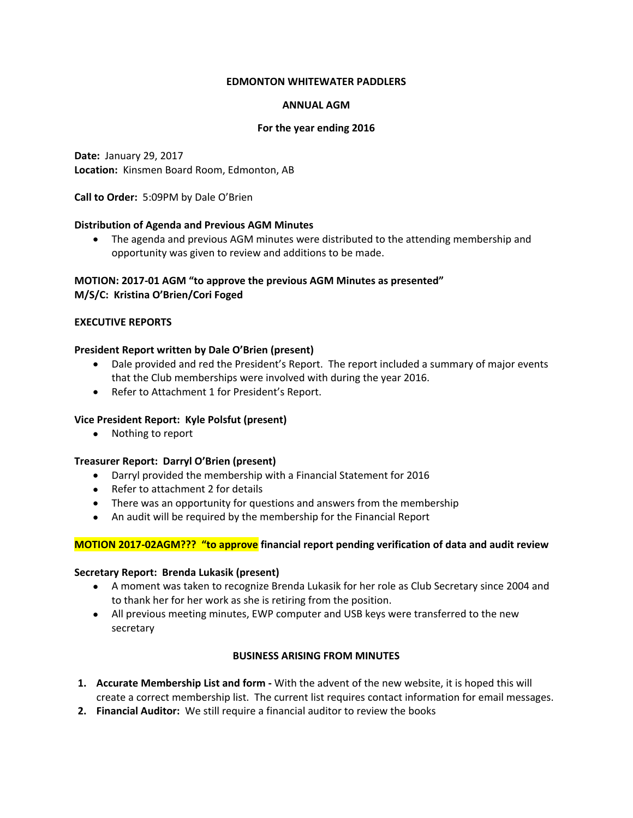#### **EDMONTON WHITEWATER PADDLERS**

### **ANNUAL AGM**

### **For the year ending 2016**

**Date:** January 29, 2017 **Location:** Kinsmen Board Room, Edmonton, AB

**Call to Order:** 5:09PM by Dale O'Brien

### **Distribution of Agenda and Previous AGM Minutes**

 The agenda and previous AGM minutes were distributed to the attending membership and opportunity was given to review and additions to be made.

# **MOTION: 2017-01 AGM "to approve the previous AGM Minutes as presented" M/S/C: Kristina O'Brien/Cori Foged**

### **EXECUTIVE REPORTS**

### **President Report written by Dale O'Brien (present)**

- Dale provided and red the President's Report. The report included a summary of major events that the Club memberships were involved with during the year 2016.
- Refer to Attachment 1 for President's Report.

## **Vice President Report: Kyle Polsfut (present)**

• Nothing to report

#### **Treasurer Report: Darryl O'Brien (present)**

- Darryl provided the membership with a Financial Statement for 2016
- Refer to attachment 2 for details
- There was an opportunity for questions and answers from the membership
- An audit will be required by the membership for the Financial Report

## **MOTION 2017-02AGM??? "to approve financial report pending verification of data and audit review**

#### **Secretary Report: Brenda Lukasik (present)**

- A moment was taken to recognize Brenda Lukasik for her role as Club Secretary since 2004 and to thank her for her work as she is retiring from the position.
- All previous meeting minutes, EWP computer and USB keys were transferred to the new secretary

## **BUSINESS ARISING FROM MINUTES**

- **1. Accurate Membership List and form** With the advent of the new website, it is hoped this will create a correct membership list. The current list requires contact information for email messages.
- **2. Financial Auditor:** We still require a financial auditor to review the books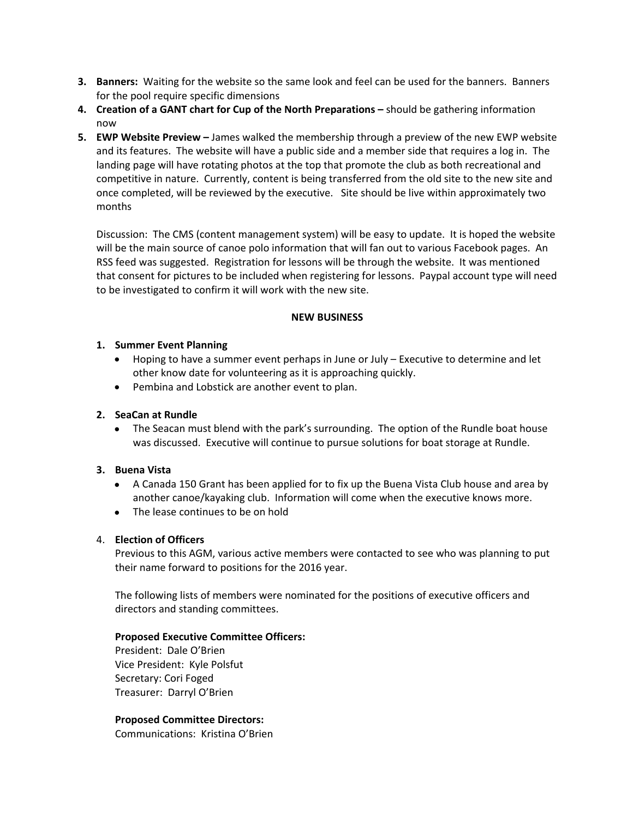- **3. Banners:** Waiting for the website so the same look and feel can be used for the banners. Banners for the pool require specific dimensions
- **4. Creation of a GANT chart for Cup of the North Preparations** should be gathering information now and the contract of the contract of the contract of the contract of the contract of the contract of the contract of the contract of the contract of the contract of the contract of the contract of the contract of the co
- **5. EWP Website Preview** James walked the membership through a preview of the new EWP website and its features. The website will have a public side and a member side that requires a log in. The landing page will have rotating photos at the top that promote the club as both recreational and competitive in nature. Currently, content is being transferred from the old site to the new site and once completed, will be reviewed by the executive. Site should be live within approximately two months

Discussion: The CMS (content management system) will be easy to update. It is hoped the website will be the main source of canoe polo information that will fan out to various Facebook pages. An RSS feed was suggested. Registration for lessons will be through the website. It was mentioned that consent for pictures to be included when registering for lessons. Paypal account type will need to be investigated to confirm it will work with the new site.

## **NEW BUSINESS**

## **1. Summer Event Planning**

- Hoping to have a summer event perhaps in June or July Executive to determine and let other know date for volunteering as it is approaching quickly.
- Pembina and Lobstick are another event to plan.

## **2. SeaCan at Rundle**

• The Seacan must blend with the park's surrounding. The option of the Rundle boat house was discussed. Executive will continue to pursue solutions for boat storage at Rundle.

## **3. Buena Vista**

- A Canada 150 Grant has been applied for to fix up the Buena Vista Club house and area by another canoe/kayaking club. Information will come when the executive knows more.
- The lease continues to be on hold

## 4. **Election of Officers**

Previous to this AGM, various active members were contacted to see who was planning to put their name forward to positions for the 2016 year.

The following lists of members were nominated for the positions of executive officers and directors and standing committees.

#### **Proposed Executive Committee Officers:**

President: Dale O'Brien Vice President: Kyle Polsfut Secretary: Cori Foged Treasurer: Darryl O'Brien

#### **Proposed Committee Directors:**

Communications: Kristina O'Brien